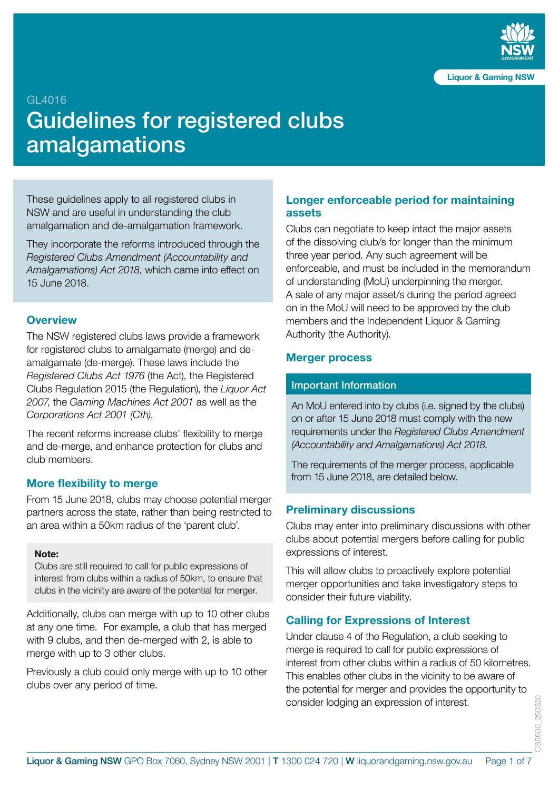

#### GL4016

# Guidelines for registered clubs amalgamations

These guidelines apply to all registered clubs in NSW and are useful in understanding the club amalgamation and de-amalgamation framework.

They incorporate the reforms introduced through the *Registered Clubs Amendment (Accountability and Amalgamations) Act 2018*, which came into effect on 15 June 2018.

### **Overview**

The NSW registered clubs laws provide a framework for registered clubs to amalgamate (merge) and deamalgamate (de-merge). These laws include the *Registered Clubs Act 1976* (the Act), the Registered Clubs Regulation 2015 (the Regulation), the *Liquor Act 2007*, the *Gaming Machines Act 2001* as well as the *Corporations Act 2001 (Cth)*.

The recent reforms increase clubs' flexibility to merge and de-merge, and enhance protection for clubs and club members.

#### **More flexibility to merge**

From 15 June 2018, clubs may choose potential merger partners across the state, rather than being restricted to an area within a 50km radius of the 'parent club'.

#### **Note:**

Clubs are still required to call for public expressions of interest from clubs within a radius of 50km, to ensure that clubs in the vicinity are aware of the potential for merger.

Additionally, clubs can merge with up to 10 other clubs at any one time. For example, a club that has merged with 9 clubs, and then de-merged with 2, is able to merge with up to 3 other clubs.

Previously a club could only merge with up to 10 other clubs over any period of time.

### **Longer enforceable period for maintaining assets**

Clubs can negotiate to keep intact the major assets of the dissolving club/s for longer than the minimum three year period. Any such agreement will be enforceable, and must be included in the memorandum of understanding (MoU) underpinning the merger. A sale of any major asset/s during the period agreed on in the MoU will need to be approved by the club members and the Independent Liquor & Gaming Authority (the Authority).

#### **Merger process**

#### Important Information

An MoU entered into by clubs (i.e. signed by the clubs) on or after 15 June 2018 must comply with the new requirements under the *Registered Clubs Amendment (Accountability and Amalgamations) Act 2018*.

The requirements of the merger process, applicable from 15 June 2018, are detailed below.

### **Preliminary discussions**

Clubs may enter into preliminary discussions with other clubs about potential mergers before calling for public expressions of interest.

This will allow clubs to proactively explore potential merger opportunities and take investigatory steps to consider their future viability.

### **Calling for Expressions of Interest**

Under clause 4 of the Regulation, a club seeking to merge is required to call for public expressions of interest from other clubs within a radius of 50 kilometres. This enables other clubs in the vicinity to be aware of the potential for merger and provides the opportunity to consider lodging an expression of interest.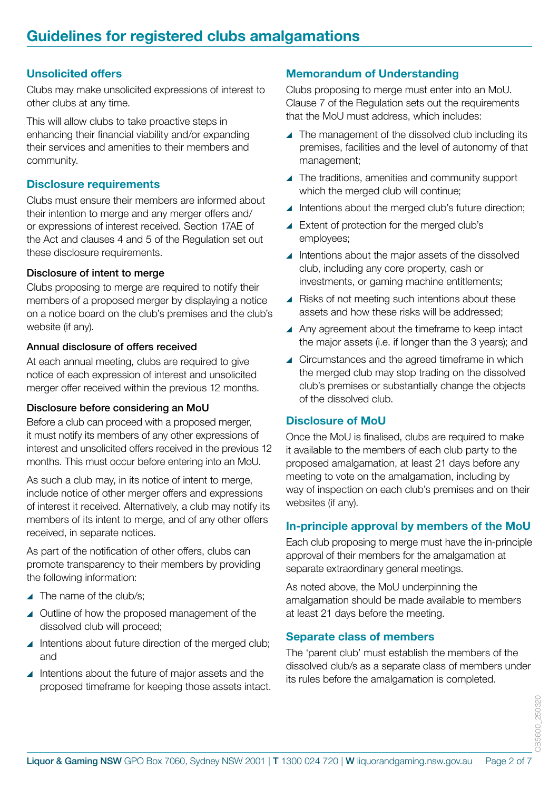### **Unsolicited offers**

Clubs may make unsolicited expressions of interest to other clubs at any time.

This will allow clubs to take proactive steps in enhancing their financial viability and/or expanding their services and amenities to their members and community.

### **Disclosure requirements**

Clubs must ensure their members are informed about their intention to merge and any merger offers and/ or expressions of interest received. Section 17AE of the Act and clauses 4 and 5 of the Regulation set out these disclosure requirements.

### Disclosure of intent to merge

Clubs proposing to merge are required to notify their members of a proposed merger by displaying a notice on a notice board on the club's premises and the club's website (if any).

### Annual disclosure of offers received

At each annual meeting, clubs are required to give notice of each expression of interest and unsolicited merger offer received within the previous 12 months.

### Disclosure before considering an MoU

Before a club can proceed with a proposed merger, it must notify its members of any other expressions of interest and unsolicited offers received in the previous 12 months. This must occur before entering into an MoU.

As such a club may, in its notice of intent to merge, include notice of other merger offers and expressions of interest it received. Alternatively, a club may notify its members of its intent to merge, and of any other offers received, in separate notices.

As part of the notification of other offers, clubs can promote transparency to their members by providing the following information:

- $\blacktriangle$  The name of the club/s:
- ▲ Outline of how the proposed management of the dissolved club will proceed;
- ▲ Intentions about future direction of the merged club; and
- **I** Intentions about the future of major assets and the proposed timeframe for keeping those assets intact.

### **Memorandum of Understanding**

Clubs proposing to merge must enter into an MoU. Clause 7 of the Regulation sets out the requirements that the MoU must address, which includes:

- $\blacktriangle$  The management of the dissolved club including its premises, facilities and the level of autonomy of that management;
- ▲ The traditions, amenities and community support which the merged club will continue;
- $\blacktriangle$  Intentions about the merged club's future direction;
- ▲ Extent of protection for the merged club's employees;
- ▲ Intentions about the major assets of the dissolved club, including any core property, cash or investments, or gaming machine entitlements;
- $\blacktriangle$  Risks of not meeting such intentions about these assets and how these risks will be addressed;
- ▲ Any agreement about the timeframe to keep intact the major assets (i.e. if longer than the 3 years); and
- ▲ Circumstances and the agreed timeframe in which the merged club may stop trading on the dissolved club's premises or substantially change the objects of the dissolved club.

### **Disclosure of MoU**

Once the MoU is finalised, clubs are required to make it available to the members of each club party to the proposed amalgamation, at least 21 days before any meeting to vote on the amalgamation, including by way of inspection on each club's premises and on their websites (if any).

## **In-principle approval by members of the MoU**

Each club proposing to merge must have the in-principle approval of their members for the amalgamation at separate extraordinary general meetings.

As noted above, the MoU underpinning the amalgamation should be made available to members at least 21 days before the meeting.

### **Separate class of members**

The 'parent club' must establish the members of the dissolved club/s as a separate class of members under its rules before the amalgamation is completed.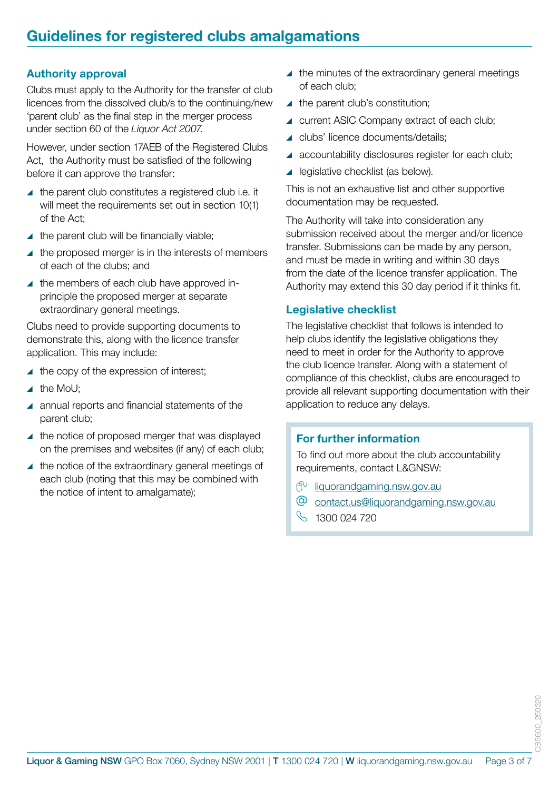### **Authority approval**

Clubs must apply to the Authority for the transfer of club licences from the dissolved club/s to the continuing/new 'parent club' as the final step in the merger process under section 60 of the *Liquor Act 2007*.

However, under section 17AEB of the Registered Clubs Act, the Authority must be satisfied of the following before it can approve the transfer:

- $\blacktriangle$  the parent club constitutes a registered club i.e. it will meet the requirements set out in section 10(1) of the Act;
- $\blacktriangle$  the parent club will be financially viable;
- $\blacktriangle$  the proposed merger is in the interests of members of each of the clubs; and
- $\blacktriangle$  the members of each club have approved inprinciple the proposed merger at separate extraordinary general meetings.

Clubs need to provide supporting documents to demonstrate this, along with the licence transfer application. This may include:

- $\blacktriangle$  the copy of the expression of interest;
- $\blacktriangle$  the MoU:
- ▲ annual reports and financial statements of the parent club;
- $\blacktriangle$  the notice of proposed merger that was displayed on the premises and websites (if any) of each club;
- $\blacktriangle$  the notice of the extraordinary general meetings of each club (noting that this may be combined with the notice of intent to amalgamate);
- $\blacktriangle$  the minutes of the extraordinary general meetings of each club;
- $\blacktriangle$  the parent club's constitution;
- current ASIC Company extract of each club;
- ▲ clubs' licence documents/details;
- ▲ accountability disclosures register for each club;
- $\blacktriangle$  legislative checklist (as below).

This is not an exhaustive list and other supportive documentation may be requested.

The Authority will take into consideration any submission received about the merger and/or licence transfer. Submissions can be made by any person, and must be made in writing and within 30 days from the date of the licence transfer application. The Authority may extend this 30 day period if it thinks fit.

### **Legislative checklist**

The legislative checklist that follows is intended to help clubs identify the legislative obligations they need to meet in order for the Authority to approve the club licence transfer. Along with a statement of compliance of this checklist, clubs are encouraged to provide all relevant supporting documentation with their application to reduce any delays.

### **For further information**

To find out more about the club accountability requirements, contact L&GNSW:

- ் [liquorandgaming.nsw.gov.au](http://www.liquorandgaming.nsw.gov.au)
- $\circledcirc$ contact.u[s@liquorandgaming.nsw.gov.au](mailto:contact.us%40liquorandgaming.nsw.gov.au?subject=)
- $\%$  1300 024 720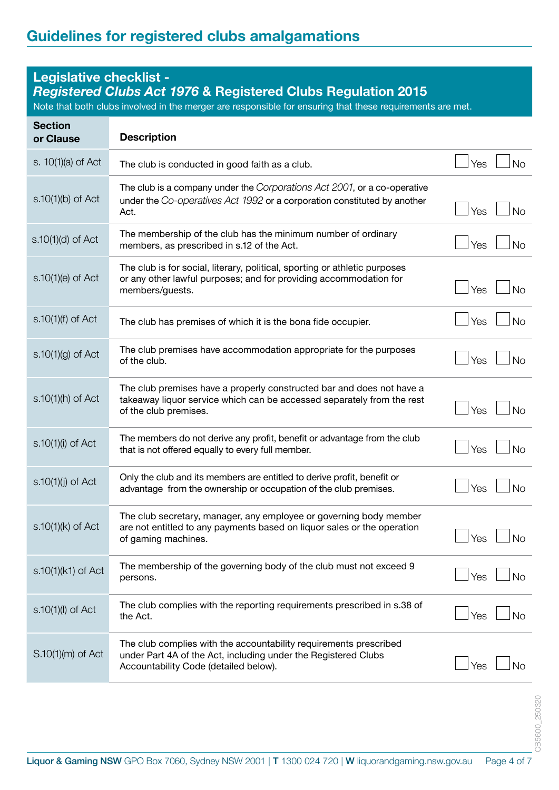# **Legislative checklist -**  *Registered Clubs Act 1976* **& Registered Clubs Regulation 2015** Note that both clubs involved in the merger are responsible for ensuring that these requirements are met. **Section or Clause Description** s. 10(1)(a) of Act The club is conducted in good faith as a club. s.10(1)(b) of Act The club is a company under the *Corporations Act 2001*, or a co-operative under the *Co-operatives Act 1992* or a corporation constituted by another Act.  $\Box$  Yes  $\Box$  No. s.10(1)(d) of Act The membership of the club has the minimum number of ordinary members, as prescribed in s.12 of the Act.  $\Box$  Yes  $\Box$  No s.10(1)(e) of Act The club is for social, literary, political, sporting or athletic purposes or any other lawful purposes; and for providing accommodation for members/quests.  $\Box$  No s.10(1)(f) of Act The club has premises of which it is the bona fide occupier.  $\Box$  Yes  $\Box$  No s.10(1)(g) of Act The club premises have accommodation appropriate for the purposes of the club. of the club.  $\Box$  No s.10(1)(h) of Act The club premises have a properly constructed bar and does not have a takeaway liquor service which can be accessed separately from the rest of the club premises.  $\Box$  No s.10(1)(i) of Act The members do not derive any profit, benefit or advantage from the club that is not offered equally to every full member.<br> $\Box$  Yes  $\Box$  No s.10(1)(j) of Act Only the club and its members are entitled to derive profit, benefit or advantage from the ownership or occupation of the club premises. s.10(1)(k) of Act The club secretary, manager, any employee or governing body member are not entitled to any payments based on liquor sales or the operation of gaming machines. Yes No s.10(1)(k1) of Act The membership of the governing body of the club must not exceed 9 persons.  $\rho$ ersons.  $\Box$  No s.10(1)(l) of Act The club complies with the reporting requirements prescribed in s.38 of the Act. the Act.  $\Box$  No. S.10(1)(m) of Act The club complies with the accountability requirements prescribed under Part 4A of the Act, including under the Registered Clubs  $\Box$  Yes  $\Box$  No. Note that the extension of the extension of the extension of the extension of the extension of the extension of the extension of the extension of the extension of the extension of the extension of the ex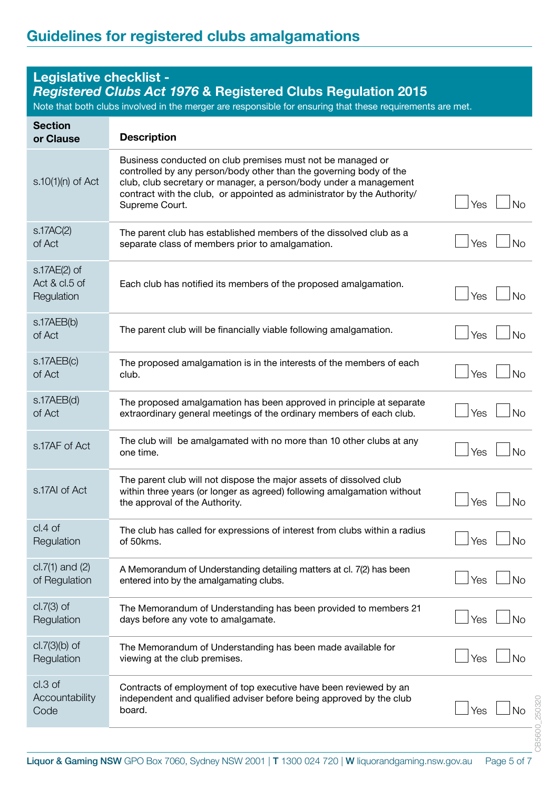# **Legislative checklist -**

# *Registered Clubs Act 1976* **& Registered Clubs Regulation 2015**

Note that both clubs involved in the merger are responsible for ensuring that these requirements are met.

| <b>Section</b><br>or Clause                 | <b>Description</b>                                                                                                                                                                                                                                                                                 |                        |
|---------------------------------------------|----------------------------------------------------------------------------------------------------------------------------------------------------------------------------------------------------------------------------------------------------------------------------------------------------|------------------------|
| $s.10(1)(n)$ of Act                         | Business conducted on club premises must not be managed or<br>controlled by any person/body other than the governing body of the<br>club, club secretary or manager, a person/body under a management<br>contract with the club, or appointed as administrator by the Authority/<br>Supreme Court. | Yes<br><b>No</b>       |
| S.17AC(2)<br>of Act                         | The parent club has established members of the dissolved club as a<br>separate class of members prior to amalgamation.                                                                                                                                                                             | Yes<br><b>No</b>       |
| s.17AE(2) of<br>Act & cl.5 of<br>Regulation | Each club has notified its members of the proposed amalgamation.                                                                                                                                                                                                                                   | Yes<br><b>No</b>       |
| s.17AEB(b)<br>of Act                        | The parent club will be financially viable following amalgamation.                                                                                                                                                                                                                                 | Yes<br><b>No</b>       |
| s.17AEB(c)<br>of Act                        | The proposed amalgamation is in the interests of the members of each<br>club.                                                                                                                                                                                                                      | Yes<br><b>No</b>       |
| s.17AEB(d)<br>of Act                        | The proposed amalgamation has been approved in principle at separate<br>extraordinary general meetings of the ordinary members of each club.                                                                                                                                                       | Yes<br><b>No</b>       |
| s.17AF of Act                               | The club will be amalgamated with no more than 10 other clubs at any<br>one time.                                                                                                                                                                                                                  | Yes<br><b>No</b>       |
| s.17AI of Act                               | The parent club will not dispose the major assets of dissolved club<br>within three years (or longer as agreed) following amalgamation without<br>the approval of the Authority.                                                                                                                   | Yes<br><b>No</b>       |
| $cl.4$ of<br>Regulation                     | The club has called for expressions of interest from clubs within a radius<br>of 50kms.                                                                                                                                                                                                            | $\vert$ Yes $\vert$ No |
| $cl.7(1)$ and $(2)$<br>of Regulation        | A Memorandum of Understanding detailing matters at cl. 7(2) has been<br>entered into by the amalgamating clubs.                                                                                                                                                                                    | Yes<br><b>No</b>       |
| $cl.7(3)$ of<br>Regulation                  | The Memorandum of Understanding has been provided to members 21<br>days before any vote to amalgamate.                                                                                                                                                                                             | Yes<br><b>No</b>       |
| $cl.7(3)(b)$ of<br>Regulation               | The Memorandum of Understanding has been made available for<br>viewing at the club premises.                                                                                                                                                                                                       | Yes<br><b>No</b>       |
| cl.3 of<br>Accountability<br>Code           | Contracts of employment of top executive have been reviewed by an<br>independent and qualified adviser before being approved by the club<br>board.                                                                                                                                                 | Yes<br><b>No</b>       |
|                                             |                                                                                                                                                                                                                                                                                                    |                        |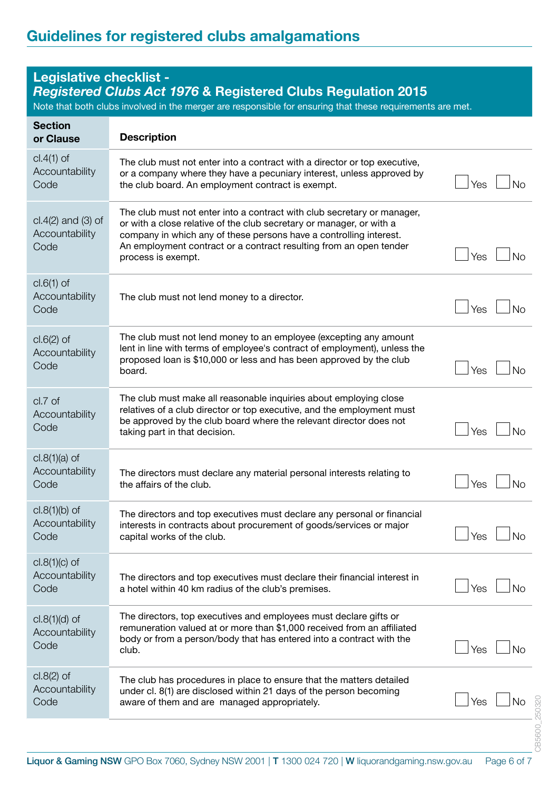#### **Legislative checklist -**  *Registered Clubs Act 1976* **& Registered Clubs Regulation 2015** Note that both clubs involved in the merger are responsible for ensuring that these requirements are met. **Section or Clause Description** cl.4(1) of Accountability **Code** The club must not enter into a contract with a director or top executive, or a company where they have a pecuniary interest, unless approved by the club board. An employment contract is exempt. cl.4(2) and (3) of **Accountability** Code The club must not enter into a contract with club secretary or manager, or with a close relative of the club secretary or manager, or with a company in which any of these persons have a controlling interest. An employment contract or a contract resulting from an open tender process is exempt. cl.6(1) of Accountability Code The club must not lend money to a director.  $\vert$  Yes  $\vert$   $\vert$  No cl.6(2) of Accountability Code The club must not lend money to an employee (excepting any amount lent in line with terms of employee's contract of employment), unless the proposed loan is \$10,000 or less and has been approved by the club board. Noticed that the set of the set of the set of the set of the set of the set of the set of the set of the set of the set of the set of the set of the set of the set of the set of the set of the set of the set of the cl.7 of Accountability Code The club must make all reasonable inquiries about employing close relatives of a club director or top executive, and the employment must be approved by the club board where the relevant director does not taking part in that decision. Yes No cl.8(1)(a) of **Accountability** Code The directors must declare any material personal interests relating to the affairs of the club.  $\begin{array}{c|c}\n\hline\n\end{array}$ cl.8(1)(b) of **Accountability** Code The directors and top executives must declare any personal or financial interests in contracts about procurement of goods/services or major  $\frac{1}{2}$  capital works of the club. cl.8(1)(c) of **Accountability** Code The directors and top executives must declare their financial interest in a hotel within 40 km radius of the club's premises. cl.8(1)(d) of Accountability Code The directors, top executives and employees must declare gifts or remuneration valued at or more than \$1,000 received from an affiliated body or from a person/body that has entered into a contract with the club.  $\Box$  Yes  $\Box$  No cl.8(2) of **Accountability** Code The club has procedures in place to ensure that the matters detailed under cl. 8(1) are disclosed within 21 days of the person becoming aware of them and are managed appropriately.